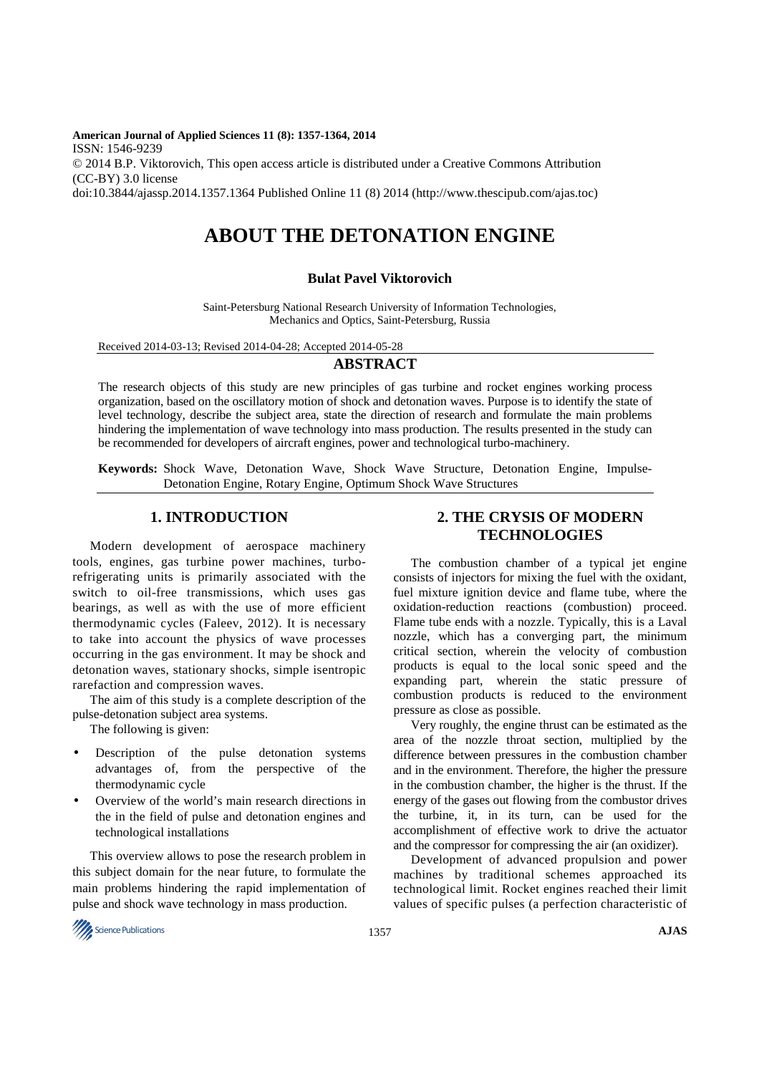**American Journal of Applied Sciences 11 (8): 1357-1364, 2014**  ISSN: 1546-9239 © 2014 B.P. Viktorovich, This open access article is distributed under a Creative Commons Attribution (CC-BY) 3.0 license doi:10.3844/ajassp.2014.1357.1364 Published Online 11 (8) 2014 (http://www.thescipub.com/ajas.toc)

# **ABOUT THE DETONATION ENGINE**

### **Bulat Pavel Viktorovich**

Saint-Petersburg National Research University of Information Technologies, Mechanics and Optics, Saint-Petersburg, Russia

Received 2014-03-13; Revised 2014-04-28; Accepted 2014-05-28

### **ABSTRACT**

The research objects of this study are new principles of gas turbine and rocket engines working process organization, based on the oscillatory motion of shock and detonation waves. Purpose is to identify the state of level technology, describe the subject area, state the direction of research and formulate the main problems hindering the implementation of wave technology into mass production. The results presented in the study can be recommended for developers of aircraft engines, power and technological turbo-machinery.

**Keywords:** Shock Wave, Detonation Wave, Shock Wave Structure, Detonation Engine, Impulse-Detonation Engine, Rotary Engine, Optimum Shock Wave Structures

### **1. INTRODUCTION**

Modern development of aerospace machinery tools, engines, gas turbine power machines, turborefrigerating units is primarily associated with the switch to oil-free transmissions, which uses gas bearings, as well as with the use of more efficient thermodynamic cycles (Faleev, 2012). It is necessary to take into account the physics of wave processes occurring in the gas environment. It may be shock and detonation waves, stationary shocks, simple isentropic rarefaction and compression waves.

The aim of this study is a complete description of the pulse-detonation subject area systems.

The following is given:

- Description of the pulse detonation systems advantages of, from the perspective of the thermodynamic cycle
- Overview of the world's main research directions in the in the field of pulse and detonation engines and technological installations

This overview allows to pose the research problem in this subject domain for the near future, to formulate the main problems hindering the rapid implementation of pulse and shock wave technology in mass production.

## **2. THE CRYSIS OF MODERN TECHNOLOGIES**

The combustion chamber of a typical jet engine consists of injectors for mixing the fuel with the oxidant, fuel mixture ignition device and flame tube, where the oxidation-reduction reactions (combustion) proceed. Flame tube ends with a nozzle. Typically, this is a Laval nozzle, which has a converging part, the minimum critical section, wherein the velocity of combustion products is equal to the local sonic speed and the expanding part, wherein the static pressure of combustion products is reduced to the environment pressure as close as possible.

Very roughly, the engine thrust can be estimated as the area of the nozzle throat section, multiplied by the difference between pressures in the combustion chamber and in the environment. Therefore, the higher the pressure in the combustion chamber, the higher is the thrust. If the energy of the gases out flowing from the combustor drives the turbine, it, in its turn, can be used for the accomplishment of effective work to drive the actuator and the compressor for compressing the air (an oxidizer).

Development of advanced propulsion and power machines by traditional schemes approached its technological limit. Rocket engines reached their limit values of specific pulses (a perfection characteristic of

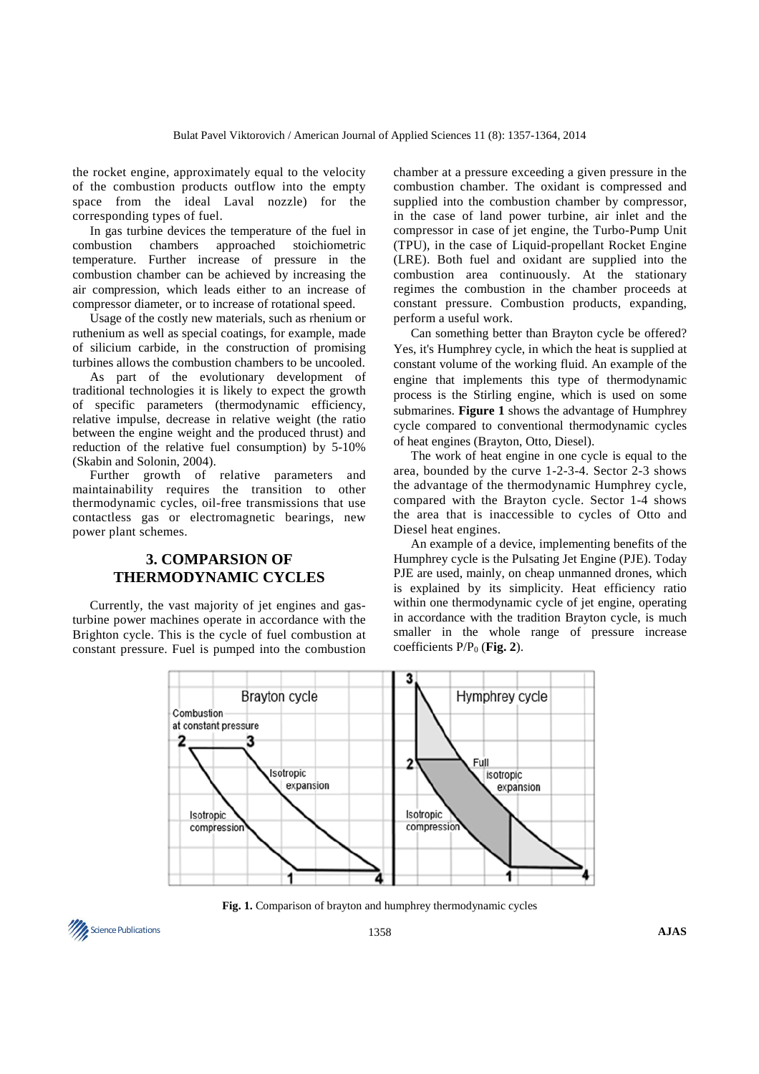the rocket engine, approximately equal to the velocity of the combustion products outflow into the empty space from the ideal Laval nozzle) for the corresponding types of fuel.

In gas turbine devices the temperature of the fuel in combustion chambers approached stoichiometric temperature. Further increase of pressure in the combustion chamber can be achieved by increasing the air compression, which leads either to an increase of compressor diameter, or to increase of rotational speed.

Usage of the costly new materials, such as rhenium or ruthenium as well as special coatings, for example, made of silicium carbide, in the construction of promising turbines allows the combustion chambers to be uncooled.

As part of the evolutionary development of traditional technologies it is likely to expect the growth of specific parameters (thermodynamic efficiency, relative impulse, decrease in relative weight (the ratio between the engine weight and the produced thrust) and reduction of the relative fuel consumption) by 5-10% (Skabin and Solonin, 2004).

Further growth of relative parameters and maintainability requires the transition to other thermodynamic cycles, oil-free transmissions that use contactless gas or electromagnetic bearings, new power plant schemes.

### **3. COMPARSION OF THERMODYNAMIC CYCLES**

Currently, the vast majority of jet engines and gasturbine power machines operate in accordance with the Brighton cycle. This is the cycle of fuel combustion at constant pressure. Fuel is pumped into the combustion

chamber at a pressure exceeding a given pressure in the combustion chamber. The oxidant is compressed and supplied into the combustion chamber by compressor, in the case of land power turbine, air inlet and the compressor in case of jet engine, the Turbo-Pump Unit (TPU), in the case of Liquid-propellant Rocket Engine (LRE). Both fuel and oxidant are supplied into the combustion area continuously. At the stationary regimes the combustion in the chamber proceeds at constant pressure. Combustion products, expanding, perform a useful work.

Can something better than Brayton cycle be offered? Yes, it's Humphrey cycle, in which the heat is supplied at constant volume of the working fluid. An example of the engine that implements this type of thermodynamic process is the Stirling engine, which is used on some submarines. **Figure 1** shows the advantage of Humphrey cycle compared to conventional thermodynamic cycles of heat engines (Brayton, Otto, Diesel).

The work of heat engine in one cycle is equal to the area, bounded by the curve 1-2-3-4. Sector 2-3 shows the advantage of the thermodynamic Humphrey cycle, compared with the Brayton cycle. Sector 1-4 shows the area that is inaccessible to cycles of Otto and Diesel heat engines.

An example of a device, implementing benefits of the Humphrey cycle is the Pulsating Jet Engine (PJE). Today PJE are used, mainly, on cheap unmanned drones, which is explained by its simplicity. Heat efficiency ratio within one thermodynamic cycle of jet engine, operating in accordance with the tradition Brayton cycle, is much smaller in the whole range of pressure increase coefficients  $P/P_0$  (**Fig. 2**).



**Fig. 1.** Comparison of brayton and humphrey thermodynamic cycles

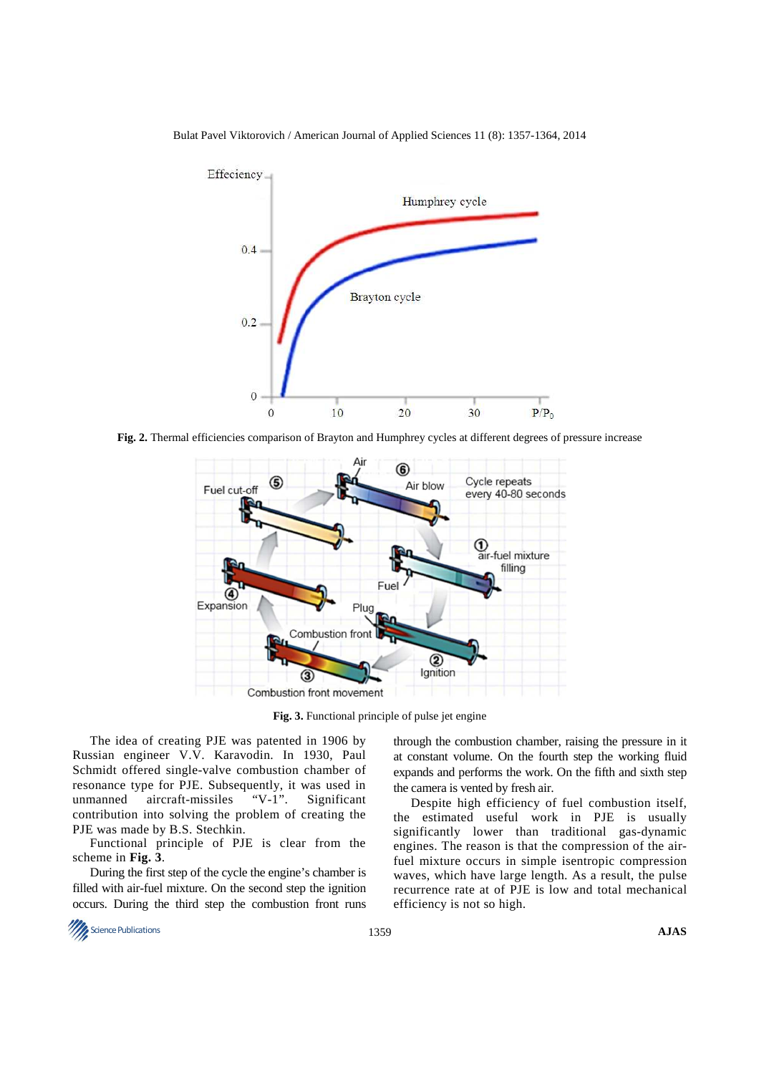

Bulat Pavel Viktorovich / American Journal of Applied Sciences 11 (8): 1357-1364, 2014

**Fig. 2.** Thermal efficiencies comparison of Brayton and Humphrey cycles at different degrees of pressure increase



**Fig. 3.** Functional principle of pulse jet engine

The idea of creating PJE was patented in 1906 by Russian engineer V.V. Karavodin. In 1930, Paul Schmidt offered single-valve combustion chamber of resonance type for PJE. Subsequently, it was used in unmanned aircraft-missiles "V-1". Significant contribution into solving the problem of creating the PJE was made by B.S. Stechkin.

Functional principle of PJE is clear from the scheme in **Fig. 3**.

During the first step of the cycle the engine's chamber is filled with air-fuel mixture. On the second step the ignition occurs. During the third step the combustion front runs through the combustion chamber, raising the pressure in it at constant volume. On the fourth step the working fluid expands and performs the work. On the fifth and sixth step the camera is vented by fresh air.

Despite high efficiency of fuel combustion itself, the estimated useful work in PJE is usually significantly lower than traditional gas-dynamic engines. The reason is that the compression of the airfuel mixture occurs in simple isentropic compression waves, which have large length. As a result, the pulse recurrence rate at of PJE is low and total mechanical efficiency is not so high.

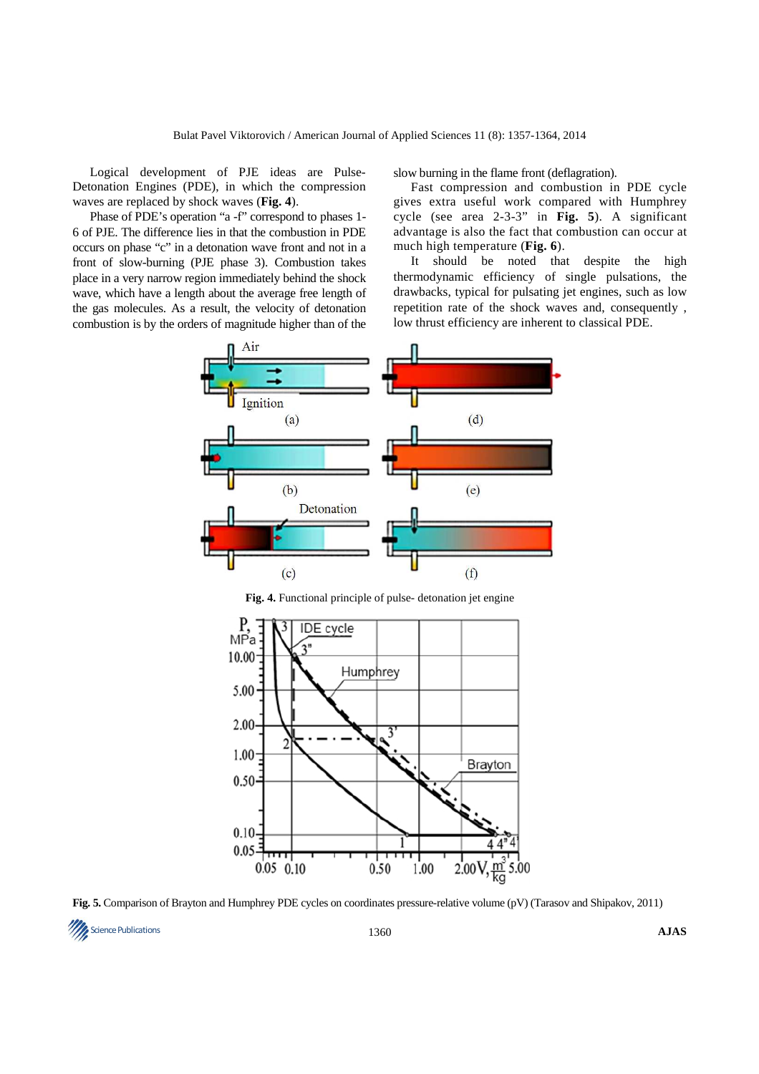Logical development of PJE ideas are Pulse-Detonation Engines (PDE), in which the compression waves are replaced by shock waves (**Fig. 4**).

Phase of PDE's operation "a -f" correspond to phases 1- 6 of PJE. The difference lies in that the combustion in PDE occurs on phase "c" in a detonation wave front and not in a front of slow-burning (PJE phase 3). Combustion takes place in a very narrow region immediately behind the shock wave, which have a length about the average free length of the gas molecules. As a result, the velocity of detonation combustion is by the orders of magnitude higher than of the

slow burning in the flame front (deflagration).

Fast compression and combustion in PDE cycle gives extra useful work compared with Humphrey cycle (see area 2-3-3" in **Fig. 5**). A significant advantage is also the fact that combustion can occur at much high temperature (**Fig. 6**).

It should be noted that despite the high thermodynamic efficiency of single pulsations, the drawbacks, typical for pulsating jet engines, such as low repetition rate of the shock waves and, consequently , low thrust efficiency are inherent to classical PDE.



**Fig. 4.** Functional principle of pulse- detonation jet engine



**Fig. 5.** Comparison of Brayton and Humphrey PDE cycles on coordinates pressure-relative volume (pV) (Tarasov and Shipakov, 2011)

1360 Science Publications **AJAS**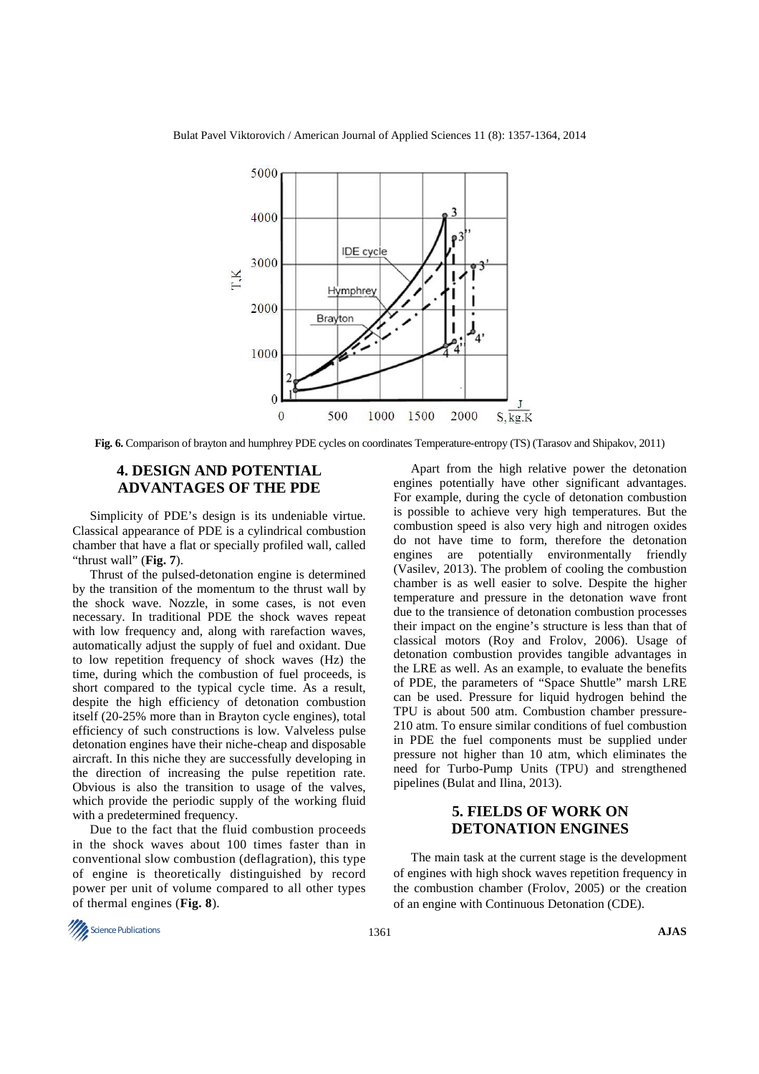

**Fig. 6.** Comparison of brayton and humphrey PDE cycles on coordinates Temperature-entropy (TS) (Tarasov and Shipakov, 2011)

# **4. DESIGN AND POTENTIAL ADVANTAGES OF THE PDE**

Simplicity of PDE's design is its undeniable virtue. Classical appearance of PDE is a cylindrical combustion chamber that have a flat or specially profiled wall, called "thrust wall" (**Fig. 7**).

Thrust of the pulsed-detonation engine is determined by the transition of the momentum to the thrust wall by the shock wave. Nozzle, in some cases, is not even necessary. In traditional PDE the shock waves repeat with low frequency and, along with rarefaction waves, automatically adjust the supply of fuel and oxidant. Due to low repetition frequency of shock waves (Hz) the time, during which the combustion of fuel proceeds, is short compared to the typical cycle time. As a result, despite the high efficiency of detonation combustion itself (20-25% more than in Brayton cycle engines), total efficiency of such constructions is low. Valveless pulse detonation engines have their niche-cheap and disposable aircraft. In this niche they are successfully developing in the direction of increasing the pulse repetition rate. Obvious is also the transition to usage of the valves, which provide the periodic supply of the working fluid with a predetermined frequency.

Due to the fact that the fluid combustion proceeds in the shock waves about 100 times faster than in conventional slow combustion (deflagration), this type of engine is theoretically distinguished by record power per unit of volume compared to all other types of thermal engines (**Fig. 8**).

Apart from the high relative power the detonation engines potentially have other significant advantages. For example, during the cycle of detonation combustion is possible to achieve very high temperatures. But the combustion speed is also very high and nitrogen oxides do not have time to form, therefore the detonation engines are potentially environmentally friendly (Vasilev, 2013). The problem of cooling the combustion chamber is as well easier to solve. Despite the higher temperature and pressure in the detonation wave front due to the transience of detonation combustion processes their impact on the engine's structure is less than that of classical motors (Roy and Frolov, 2006). Usage of detonation combustion provides tangible advantages in the LRE as well. As an example, to evaluate the benefits of PDE, the parameters of "Space Shuttle" marsh LRE can be used. Pressure for liquid hydrogen behind the TPU is about 500 atm. Combustion chamber pressure-210 atm. To ensure similar conditions of fuel combustion in PDE the fuel components must be supplied under pressure not higher than 10 atm, which eliminates the need for Turbo-Pump Units (TPU) and strengthened pipelines (Bulat and Ilina, 2013).

### **5. FIELDS OF WORK ON DETONATION ENGINES**

The main task at the current stage is the development of engines with high shock waves repetition frequency in the combustion chamber (Frolov, 2005) or the creation of an engine with Continuous Detonation (CDE).

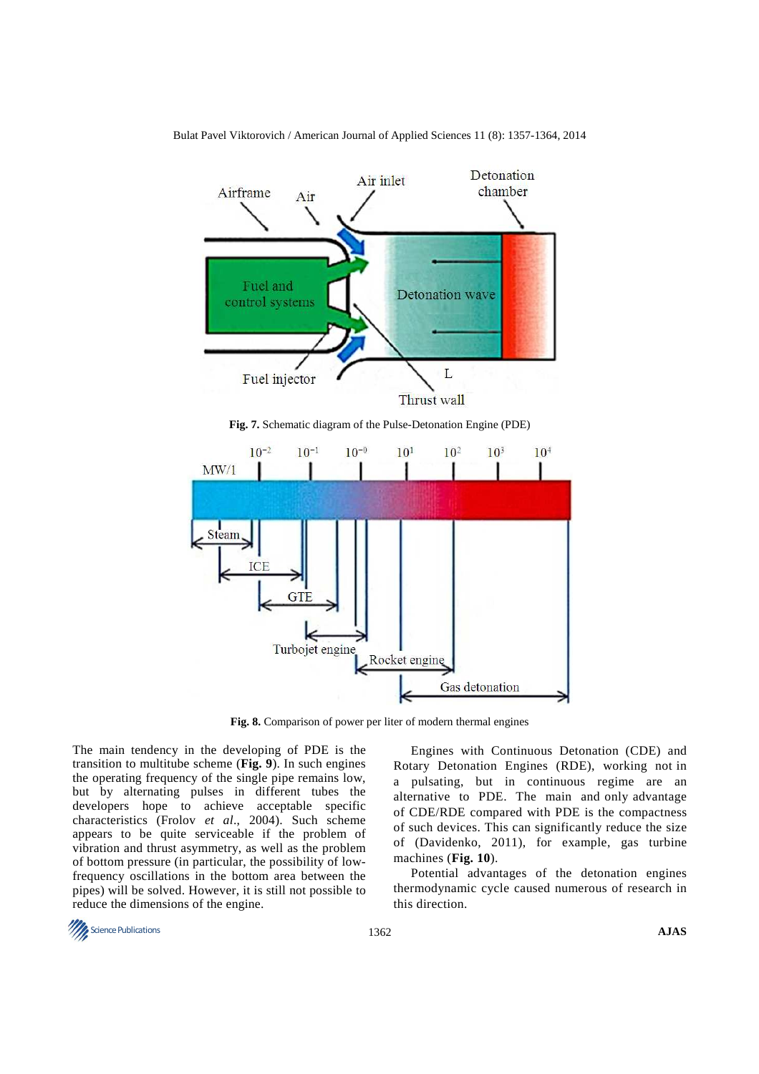

Bulat Pavel Viktorovich / American Journal of Applied Sciences 11 (8): 1357-1364, 2014

**Fig. 7.** Schematic diagram of the Pulse-Detonation Engine (PDE)



**Fig. 8.** Comparison of power per liter of modern thermal engines

The main tendency in the developing of PDE is the transition to multitube scheme (**Fig. 9**). In such engines the operating frequency of the single pipe remains low, but by alternating pulses in different tubes the developers hope to achieve acceptable specific characteristics (Frolov *et al*., 2004). Such scheme appears to be quite serviceable if the problem of vibration and thrust asymmetry, as well as the problem of bottom pressure (in particular, the possibility of lowfrequency oscillations in the bottom area between the pipes) will be solved. However, it is still not possible to reduce the dimensions of the engine.

Engines with Continuous Detonation (CDE) and Rotary Detonation Engines (RDE), working not in a pulsating, but in continuous regime are an alternative to PDE. The main and only advantage of CDE/RDE compared with PDE is the compactness of such devices. This can significantly reduce the size of (Davidenko, 2011), for example, gas turbine machines (**Fig. 10**).

Potential advantages of the detonation engines thermodynamic cycle caused numerous of research in this direction.

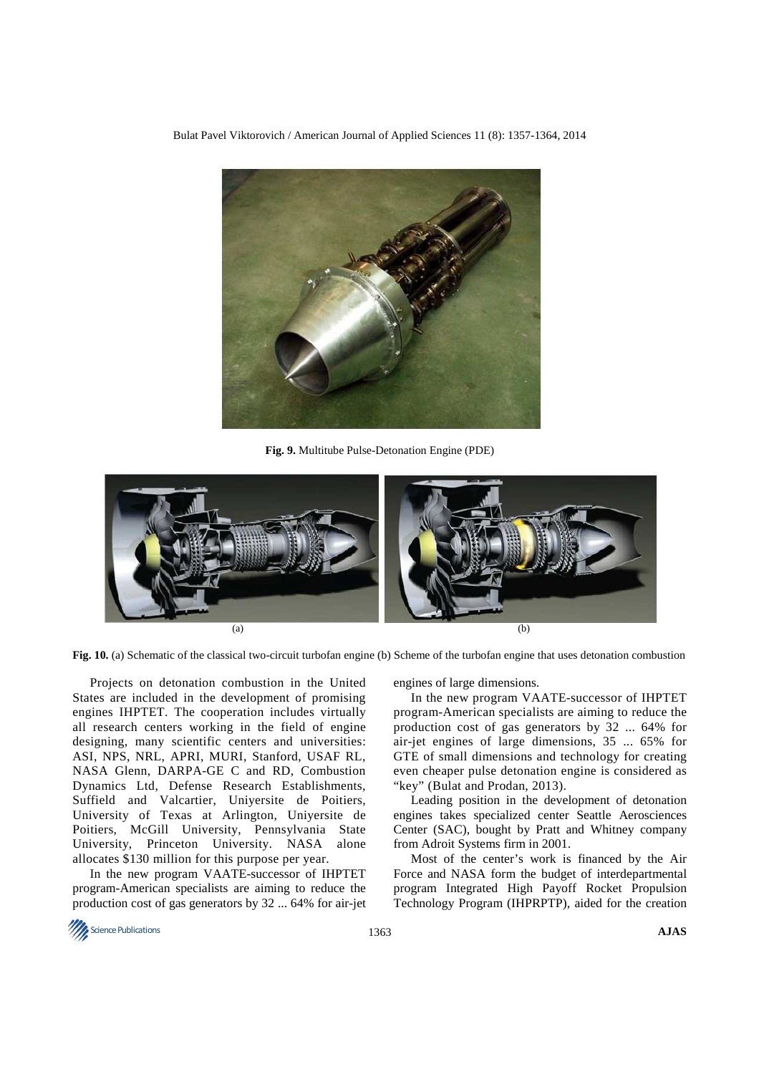Bulat Pavel Viktorovich / American Journal of Applied Sciences 11 (8): 1357-1364, 2014



**Fig. 9.** Multitube Pulse-Detonation Engine (PDE)



**Fig. 10.** (a) Schematic of the classical two-circuit turbofan engine (b) Scheme of the turbofan engine that uses detonation combustion

Projects on detonation combustion in the United States are included in the development of promising engines IHPTET. The cooperation includes virtually all research centers working in the field of engine designing, many scientific centers and universities: ASI, NPS, NRL, APRI, MURI, Stanford, USAF RL, NASA Glenn, DARPA-GE C and RD, Combustion Dynamics Ltd, Defense Research Establishments, Suffield and Valcartier, Uniyersite de Poitiers, University of Texas at Arlington, Uniyersite de Poitiers, McGill University, Pennsylvania State University, Princeton University. NASA alone allocates \$130 million for this purpose per year.

In the new program VAATE-successor of IHPTET program-American specialists are aiming to reduce the production cost of gas generators by 32 ... 64% for air-jet engines of large dimensions.

In the new program VAATE-successor of IHPTET program-American specialists are aiming to reduce the production cost of gas generators by 32 ... 64% for air-jet engines of large dimensions, 35 ... 65% for GTE of small dimensions and technology for creating even cheaper pulse detonation engine is considered as "key" (Bulat and Prodan, 2013).

Leading position in the development of detonation engines takes specialized center Seattle Aerosciences Center (SAC), bought by Pratt and Whitney company from Adroit Systems firm in 2001.

Most of the center's work is financed by the Air Force and NASA form the budget of interdepartmental program Integrated High Payoff Rocket Propulsion Technology Program (IHPRPTP), aided for the creation